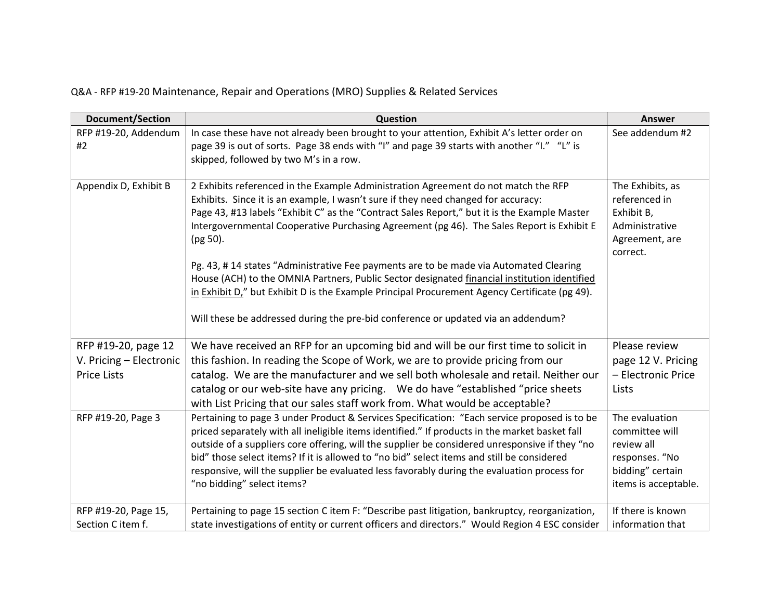## Q&A - RFP #19-20 Maintenance, Repair and Operations (MRO) Supplies & Related Services

| <b>Document/Section</b>    | Question                                                                                                                                                                                                                                                                                                                                                                                                                                                                                                                                                                                                                                                                                                                                                         | Answer                                                                                                       |
|----------------------------|------------------------------------------------------------------------------------------------------------------------------------------------------------------------------------------------------------------------------------------------------------------------------------------------------------------------------------------------------------------------------------------------------------------------------------------------------------------------------------------------------------------------------------------------------------------------------------------------------------------------------------------------------------------------------------------------------------------------------------------------------------------|--------------------------------------------------------------------------------------------------------------|
| RFP #19-20, Addendum<br>#2 | In case these have not already been brought to your attention, Exhibit A's letter order on<br>page 39 is out of sorts. Page 38 ends with "I" and page 39 starts with another "I." "L" is<br>skipped, followed by two M's in a row.                                                                                                                                                                                                                                                                                                                                                                                                                                                                                                                               | See addendum #2                                                                                              |
| Appendix D, Exhibit B      | 2 Exhibits referenced in the Example Administration Agreement do not match the RFP<br>Exhibits. Since it is an example, I wasn't sure if they need changed for accuracy:<br>Page 43, #13 labels "Exhibit C" as the "Contract Sales Report," but it is the Example Master<br>Intergovernmental Cooperative Purchasing Agreement (pg 46). The Sales Report is Exhibit E<br>(pg 50).<br>Pg. 43, #14 states "Administrative Fee payments are to be made via Automated Clearing<br>House (ACH) to the OMNIA Partners, Public Sector designated financial institution identified<br>in Exhibit D," but Exhibit D is the Example Principal Procurement Agency Certificate (pg 49).<br>Will these be addressed during the pre-bid conference or updated via an addendum? | The Exhibits, as<br>referenced in<br>Exhibit B,<br>Administrative<br>Agreement, are<br>correct.              |
| RFP #19-20, page 12        | We have received an RFP for an upcoming bid and will be our first time to solicit in                                                                                                                                                                                                                                                                                                                                                                                                                                                                                                                                                                                                                                                                             | Please review                                                                                                |
| V. Pricing - Electronic    | this fashion. In reading the Scope of Work, we are to provide pricing from our                                                                                                                                                                                                                                                                                                                                                                                                                                                                                                                                                                                                                                                                                   | page 12 V. Pricing                                                                                           |
| <b>Price Lists</b>         | catalog. We are the manufacturer and we sell both wholesale and retail. Neither our<br>catalog or our web-site have any pricing.  We do have "established "price sheets<br>with List Pricing that our sales staff work from. What would be acceptable?                                                                                                                                                                                                                                                                                                                                                                                                                                                                                                           | - Electronic Price<br>Lists                                                                                  |
| RFP #19-20, Page 3         | Pertaining to page 3 under Product & Services Specification: "Each service proposed is to be<br>priced separately with all ineligible items identified." If products in the market basket fall<br>outside of a suppliers core offering, will the supplier be considered unresponsive if they "no<br>bid" those select items? If it is allowed to "no bid" select items and still be considered<br>responsive, will the supplier be evaluated less favorably during the evaluation process for<br>"no bidding" select items?                                                                                                                                                                                                                                      | The evaluation<br>committee will<br>review all<br>responses. "No<br>bidding" certain<br>items is acceptable. |
| RFP #19-20, Page 15,       | Pertaining to page 15 section C item F: "Describe past litigation, bankruptcy, reorganization,                                                                                                                                                                                                                                                                                                                                                                                                                                                                                                                                                                                                                                                                   | If there is known                                                                                            |
| Section C item f.          | state investigations of entity or current officers and directors." Would Region 4 ESC consider                                                                                                                                                                                                                                                                                                                                                                                                                                                                                                                                                                                                                                                                   | information that                                                                                             |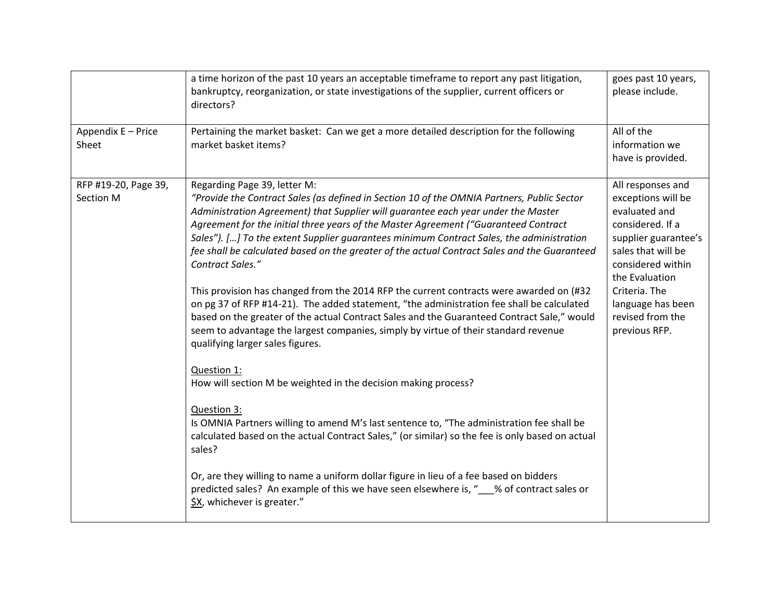|                                   | a time horizon of the past 10 years an acceptable timeframe to report any past litigation,<br>bankruptcy, reorganization, or state investigations of the supplier, current officers or<br>directors?                                                                                                                                                                                                                                                                                                                                                                                                                                                                                                                                                                                                                                                                                                                                    | goes past 10 years,<br>please include.                                                                                                                                                                                                       |
|-----------------------------------|-----------------------------------------------------------------------------------------------------------------------------------------------------------------------------------------------------------------------------------------------------------------------------------------------------------------------------------------------------------------------------------------------------------------------------------------------------------------------------------------------------------------------------------------------------------------------------------------------------------------------------------------------------------------------------------------------------------------------------------------------------------------------------------------------------------------------------------------------------------------------------------------------------------------------------------------|----------------------------------------------------------------------------------------------------------------------------------------------------------------------------------------------------------------------------------------------|
| Appendix E - Price<br>Sheet       | Pertaining the market basket: Can we get a more detailed description for the following<br>market basket items?                                                                                                                                                                                                                                                                                                                                                                                                                                                                                                                                                                                                                                                                                                                                                                                                                          | All of the<br>information we<br>have is provided.                                                                                                                                                                                            |
| RFP #19-20, Page 39,<br>Section M | Regarding Page 39, letter M:<br>"Provide the Contract Sales (as defined in Section 10 of the OMNIA Partners, Public Sector<br>Administration Agreement) that Supplier will guarantee each year under the Master<br>Agreement for the initial three years of the Master Agreement ("Guaranteed Contract<br>Sales"). [] To the extent Supplier guarantees minimum Contract Sales, the administration<br>fee shall be calculated based on the greater of the actual Contract Sales and the Guaranteed<br>Contract Sales."<br>This provision has changed from the 2014 RFP the current contracts were awarded on (#32<br>on pg 37 of RFP #14-21). The added statement, "the administration fee shall be calculated<br>based on the greater of the actual Contract Sales and the Guaranteed Contract Sale," would<br>seem to advantage the largest companies, simply by virtue of their standard revenue<br>qualifying larger sales figures. | All responses and<br>exceptions will be<br>evaluated and<br>considered. If a<br>supplier guarantee's<br>sales that will be<br>considered within<br>the Evaluation<br>Criteria. The<br>language has been<br>revised from the<br>previous RFP. |
|                                   | Question 1:<br>How will section M be weighted in the decision making process?<br>Question 3:<br>Is OMNIA Partners willing to amend M's last sentence to, "The administration fee shall be<br>calculated based on the actual Contract Sales," (or similar) so the fee is only based on actual<br>sales?<br>Or, are they willing to name a uniform dollar figure in lieu of a fee based on bidders<br>predicted sales? An example of this we have seen elsewhere is, " Sof contract sales or<br>\$X, whichever is greater."                                                                                                                                                                                                                                                                                                                                                                                                               |                                                                                                                                                                                                                                              |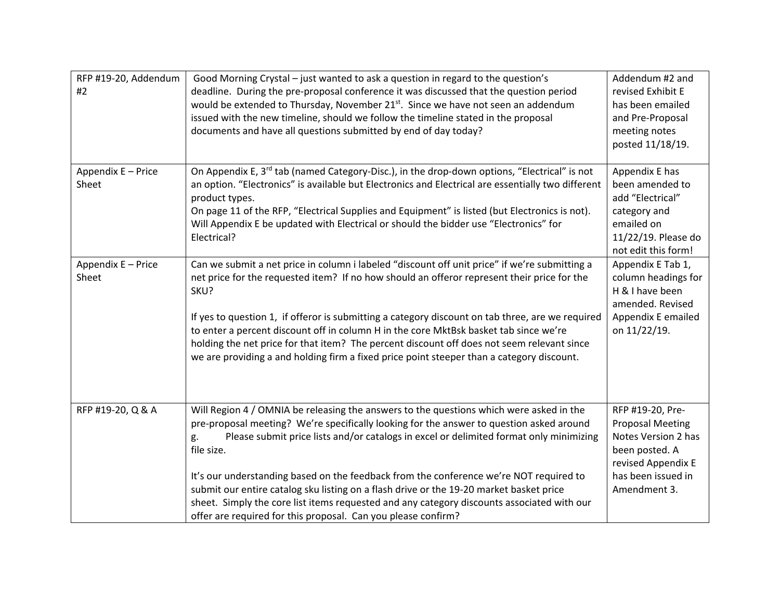| RFP #19-20, Addendum<br>#2  | Good Morning Crystal – just wanted to ask a question in regard to the question's<br>deadline. During the pre-proposal conference it was discussed that the question period<br>would be extended to Thursday, November 21 <sup>st</sup> . Since we have not seen an addendum<br>issued with the new timeline, should we follow the timeline stated in the proposal<br>documents and have all questions submitted by end of day today?                                                                                                                                                                                                                  | Addendum #2 and<br>revised Exhibit E<br>has been emailed<br>and Pre-Proposal<br>meeting notes<br>posted 11/18/19.                                |
|-----------------------------|-------------------------------------------------------------------------------------------------------------------------------------------------------------------------------------------------------------------------------------------------------------------------------------------------------------------------------------------------------------------------------------------------------------------------------------------------------------------------------------------------------------------------------------------------------------------------------------------------------------------------------------------------------|--------------------------------------------------------------------------------------------------------------------------------------------------|
| Appendix E - Price<br>Sheet | On Appendix E, 3 <sup>rd</sup> tab (named Category-Disc.), in the drop-down options, "Electrical" is not<br>an option. "Electronics" is available but Electronics and Electrical are essentially two different<br>product types.<br>On page 11 of the RFP, "Electrical Supplies and Equipment" is listed (but Electronics is not).<br>Will Appendix E be updated with Electrical or should the bidder use "Electronics" for<br>Electrical?                                                                                                                                                                                                            | Appendix E has<br>been amended to<br>add "Electrical"<br>category and<br>emailed on<br>11/22/19. Please do<br>not edit this form!                |
| Appendix E - Price<br>Sheet | Can we submit a net price in column i labeled "discount off unit price" if we're submitting a<br>net price for the requested item? If no how should an offeror represent their price for the<br>SKU?<br>If yes to question 1, if offeror is submitting a category discount on tab three, are we required<br>to enter a percent discount off in column H in the core MktBsk basket tab since we're<br>holding the net price for that item? The percent discount off does not seem relevant since<br>we are providing a and holding firm a fixed price point steeper than a category discount.                                                          | Appendix E Tab 1,<br>column headings for<br>H & I have been<br>amended. Revised<br>Appendix E emailed<br>on 11/22/19.                            |
| RFP #19-20, Q & A           | Will Region 4 / OMNIA be releasing the answers to the questions which were asked in the<br>pre-proposal meeting? We're specifically looking for the answer to question asked around<br>Please submit price lists and/or catalogs in excel or delimited format only minimizing<br>g.<br>file size.<br>It's our understanding based on the feedback from the conference we're NOT required to<br>submit our entire catalog sku listing on a flash drive or the 19-20 market basket price<br>sheet. Simply the core list items requested and any category discounts associated with our<br>offer are required for this proposal. Can you please confirm? | RFP #19-20, Pre-<br><b>Proposal Meeting</b><br>Notes Version 2 has<br>been posted. A<br>revised Appendix E<br>has been issued in<br>Amendment 3. |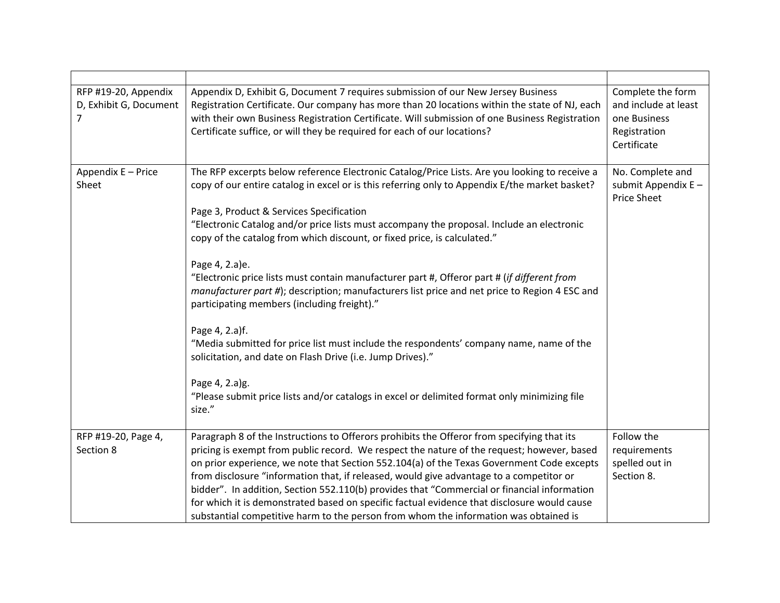| RFP #19-20, Appendix<br>D, Exhibit G, Document<br>7 | Appendix D, Exhibit G, Document 7 requires submission of our New Jersey Business<br>Registration Certificate. Our company has more than 20 locations within the state of NJ, each<br>with their own Business Registration Certificate. Will submission of one Business Registration<br>Certificate suffice, or will they be required for each of our locations?                                                                                                                                                                                                                                                                                                                                                                                                                                                                                                                                                                                                                              | Complete the form<br>and include at least<br>one Business<br>Registration<br>Certificate |
|-----------------------------------------------------|----------------------------------------------------------------------------------------------------------------------------------------------------------------------------------------------------------------------------------------------------------------------------------------------------------------------------------------------------------------------------------------------------------------------------------------------------------------------------------------------------------------------------------------------------------------------------------------------------------------------------------------------------------------------------------------------------------------------------------------------------------------------------------------------------------------------------------------------------------------------------------------------------------------------------------------------------------------------------------------------|------------------------------------------------------------------------------------------|
| Appendix E - Price<br>Sheet                         | The RFP excerpts below reference Electronic Catalog/Price Lists. Are you looking to receive a<br>copy of our entire catalog in excel or is this referring only to Appendix E/the market basket?<br>Page 3, Product & Services Specification<br>"Electronic Catalog and/or price lists must accompany the proposal. Include an electronic<br>copy of the catalog from which discount, or fixed price, is calculated."<br>Page 4, 2.a)e.<br>"Electronic price lists must contain manufacturer part #, Offeror part # (if different from<br>manufacturer part #); description; manufacturers list price and net price to Region 4 ESC and<br>participating members (including freight)."<br>Page 4, 2.a)f.<br>"Media submitted for price list must include the respondents' company name, name of the<br>solicitation, and date on Flash Drive (i.e. Jump Drives)."<br>Page 4, 2.a)g.<br>"Please submit price lists and/or catalogs in excel or delimited format only minimizing file<br>size." | No. Complete and<br>submit Appendix $E -$<br><b>Price Sheet</b>                          |
| RFP #19-20, Page 4,<br>Section 8                    | Paragraph 8 of the Instructions to Offerors prohibits the Offeror from specifying that its<br>pricing is exempt from public record. We respect the nature of the request; however, based<br>on prior experience, we note that Section 552.104(a) of the Texas Government Code excepts<br>from disclosure "information that, if released, would give advantage to a competitor or<br>bidder". In addition, Section 552.110(b) provides that "Commercial or financial information<br>for which it is demonstrated based on specific factual evidence that disclosure would cause<br>substantial competitive harm to the person from whom the information was obtained is                                                                                                                                                                                                                                                                                                                       | Follow the<br>requirements<br>spelled out in<br>Section 8.                               |